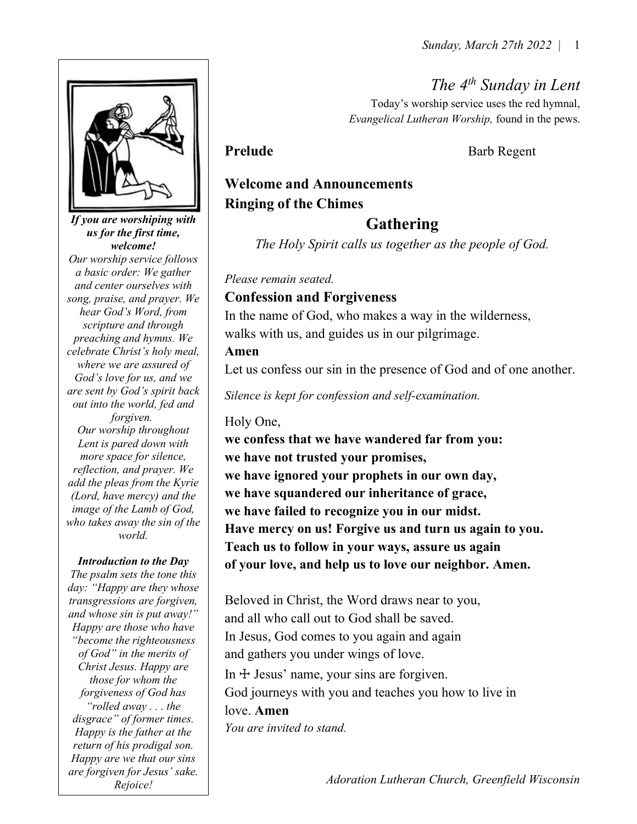The 4<sup>th</sup> Sunday in Lent

Today's worship service uses the red hymnal, Evangelical Lutheran Worship, found in the pews.

Prelude Barb Regent

# Welcome and Announcements Ringing of the Chimes

## Gathering

The Holy Spirit calls us together as the people of God.

Please remain seated.

## Confession and Forgiveness

In the name of God, who makes a way in the wilderness, walks with us, and guides us in our pilgrimage.

#### Amen

Let us confess our sin in the presence of God and of one another.

Silence is kept for confession and self-examination.

#### Holy One,

we confess that we have wandered far from you: we have not trusted your promises, we have ignored your prophets in our own day, we have squandered our inheritance of grace, we have failed to recognize you in our midst. Have mercy on us! Forgive us and turn us again to you. Teach us to follow in your ways, assure us again of your love, and help us to love our neighbor. Amen.

Beloved in Christ, the Word draws near to you, and all who call out to God shall be saved. In Jesus, God comes to you again and again and gathers you under wings of love. In  $\pm$  Jesus' name, your sins are forgiven. God journeys with you and teaches you how to live in love. Amen You are invited to stand.

Adoration Lutheran Church, Greenfield Wisconsin



If you are worshiping with us for the first time, welcome! Our worship service follows a basic order: We gather and center ourselves with song, praise, and prayer. We hear God's Word, from scripture and through preaching and hymns. We celebrate Christ's holy meal, where we are assured of God's love for us, and we are sent by God's spirit back out into the world, fed and forgiven. Our worship throughout Lent is pared down with more space for silence, reflection, and prayer. We add the pleas from the Kyrie (Lord, have mercy) and the image of the Lamb of God, who takes away the sin of the world.

#### Introduction to the Day

The psalm sets the tone this day: "Happy are they whose transgressions are forgiven, and whose sin is put away!" Happy are those who have "become the righteousness of God" in the merits of Christ Jesus. Happy are those for whom the forgiveness of God has "rolled away . . . the disgrace" of former times. Happy is the father at the return of his prodigal son. Happy are we that our sins are forgiven for Jesus' sake. Rejoice!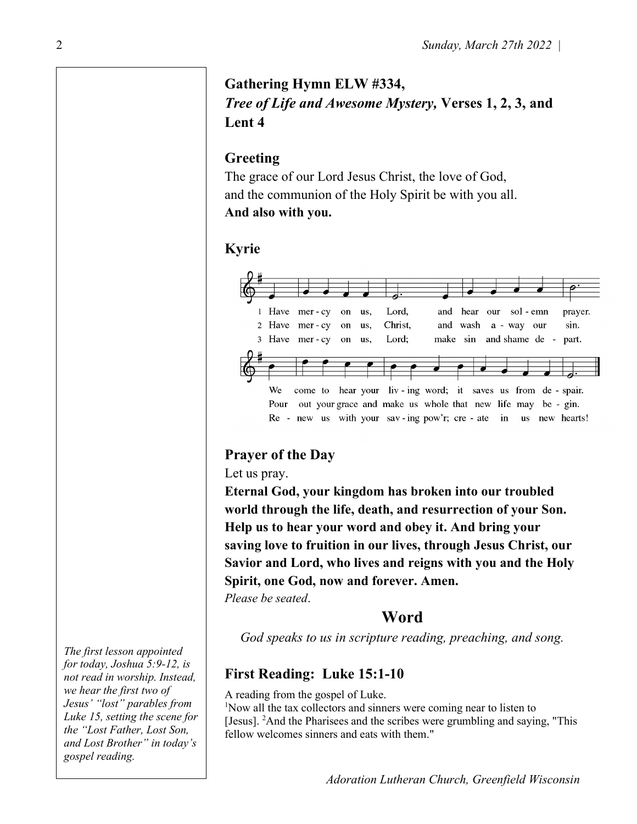# Gathering Hymn ELW #334, Tree of Life and Awesome Mystery, Verses 1, 2, 3, and Lent 4

## Greeting

The grace of our Lord Jesus Christ, the love of God, and the communion of the Holy Spirit be with you all. And also with you.

#### Kyrie



## Prayer of the Day

Let us pray.

Eternal God, your kingdom has broken into our troubled world through the life, death, and resurrection of your Son. Help us to hear your word and obey it. And bring your saving love to fruition in our lives, through Jesus Christ, our Savior and Lord, who lives and reigns with you and the Holy Spirit, one God, now and forever. Amen.

Please be seated.

## Word

God speaks to us in scripture reading, preaching, and song.

# First Reading: Luke 15:1-10

A reading from the gospel of Luke.

<sup>1</sup>Now all the tax collectors and sinners were coming near to listen to [Jesus]. <sup>2</sup>And the Pharisees and the scribes were grumbling and saying, "This fellow welcomes sinners and eats with them."

The first lesson appointed for today, Joshua 5:9-12, is not read in worship. Instead, we hear the first two of Jesus' "lost" parables from Luke 15, setting the scene for the "Lost Father, Lost Son, and Lost Brother" in today's gospel reading.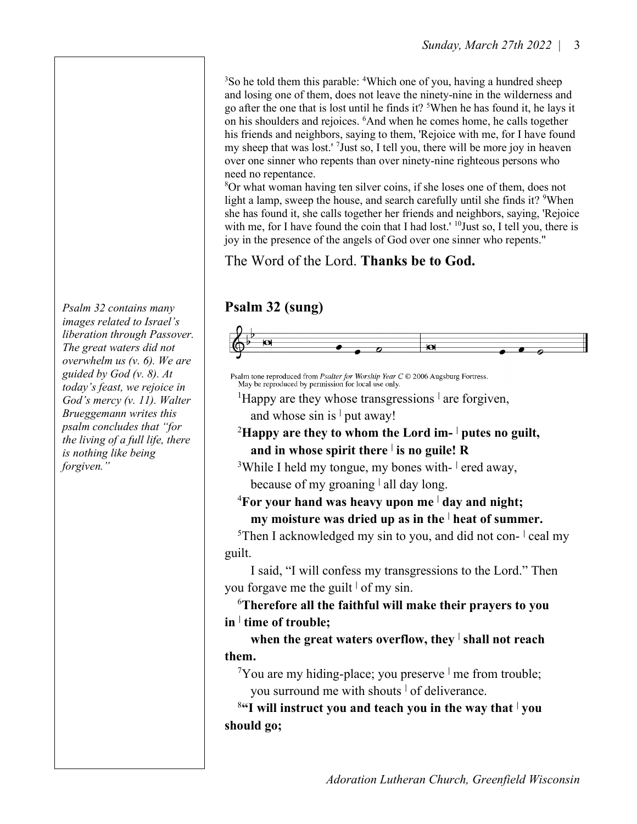<sup>3</sup>So he told them this parable: <sup>4</sup>Which one of you, having a hundred sheep and losing one of them, does not leave the ninety-nine in the wilderness and go after the one that is lost until he finds it? <sup>5</sup>When he has found it, he lays it on his shoulders and rejoices. <sup>6</sup>And when he comes home, he calls together his friends and neighbors, saying to them, 'Rejoice with me, for I have found my sheep that was lost.<sup>'</sup> <sup>7</sup>Just so, I tell you, there will be more joy in heaven over one sinner who repents than over ninety-nine righteous persons who need no repentance.

<sup>8</sup>Or what woman having ten silver coins, if she loses one of them, does not light a lamp, sweep the house, and search carefully until she finds it?  $9$ When she has found it, she calls together her friends and neighbors, saying, 'Rejoice with me, for I have found the coin that I had lost.' <sup>10</sup>Just so, I tell you, there is joy in the presence of the angels of God over one sinner who repents."

The Word of the Lord. Thanks be to God.

## Psalm 32 (sung)



Psalm tone reproduced from Psalter for Worship Year C © 2006 Augsburg Fortress. May be reproduced by permission for local use only.

<sup>1</sup>Happy are they whose transgressions  $\frac{1}{1}$  are forgiven, and whose  $\sin$  is  $\frac{1}{1}$  put away!

#### <sup>2</sup>Happy are they to whom the Lord im-  $\vert$  putes no guilt, and in whose spirit there  $\vert$  is no guile! R

<sup>3</sup>While I held my tongue, my bones with- red away, because of my groaning  $\vert$  all day long.

## ${}^{4}$ For your hand was heavy upon me  ${}^{1}$  day and night; my moisture was dried up as in the  $\frac{1}{1}$  heat of summer.

<sup>5</sup>Then I acknowledged my sin to you, and did not con- $\frac{1}{1}$  ceal my guilt.

 I said, "I will confess my transgressions to the Lord." Then you forgave me the guilt  $\frac{1}{x}$  of my sin.

 $6$ Therefore all the faithful will make their prayers to you in  $\frac{1}{2}$  time of trouble;

when the great waters overflow, they  $\frac{1}{2}$  shall not reach them.

 $7$ You are my hiding-place; you preserve  $\frac{1}{2}$  me from trouble; you surround me with shouts <sup>|</sup> of deliverance.

 $8$ "I will instruct you and teach you in the way that  $\frac{1}{2}$  you should go;

Psalm 32 contains many images related to Israel's liberation through Passover. The great waters did not overwhelm us (v. 6). We are guided by God (v. 8). At today's feast, we rejoice in God's mercy (v. 11). Walter Brueggemann writes this psalm concludes that "for the living of a full life, there is nothing like being forgiven."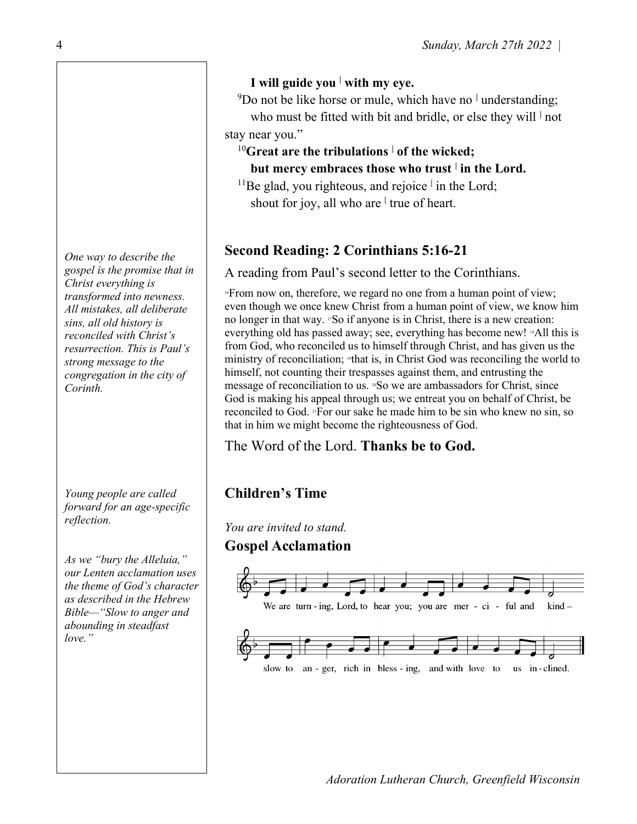One way to describe the gospel is the promise that in Christ everything is transformed into newness. All mistakes, all deliberate sins, all old history is reconciled with Christ's resurrection. This is Paul's strong message to the congregation in the city of Corinth.

Young people are called forward for an age-specific reflection.

As we "bury the Alleluia," our Lenten acclamation uses the theme of God's character as described in the Hebrew Bible—"Slow to anger and abounding in steadfast love."

## I will guide you  $\frac{1}{1}$  with my eye.

<sup>9</sup>Do not be like horse or mule, which have no  $\perp$  understanding; who must be fitted with bit and bridle, or else they will  $\vert$  not stay near you."

## $^{10}$ Great are the tribulations  $\frac{1}{10}$  of the wicked;

but mercy embraces those who trust  $\vert$  in the Lord.

<sup>11</sup>Be glad, you righteous, and rejoice  $\frac{1}{1}$  in the Lord; shout for joy, all who are  $\vert$  true of heart.

# Second Reading: 2 Corinthians 5:16-21

A reading from Paul's second letter to the Corinthians.

 $16$  From now on, therefore, we regard no one from a human point of view; even though we once knew Christ from a human point of view, we know him no longer in that way. 17So if anyone is in Christ, there is a new creation: everything old has passed away; see, everything has become new! <sup>8</sup>All this is from God, who reconciled us to himself through Christ, and has given us the ministry of reconciliation; 19that is, in Christ God was reconciling the world to himself, not counting their trespasses against them, and entrusting the message of reconciliation to us. <sup>20</sup>So we are ambassadors for Christ, since God is making his appeal through us; we entreat you on behalf of Christ, be reconciled to God. 21For our sake he made him to be sin who knew no sin, so that in him we might become the righteousness of God.

The Word of the Lord. Thanks be to God.

# Children's Time

You are invited to stand.

## Gospel Acclamation

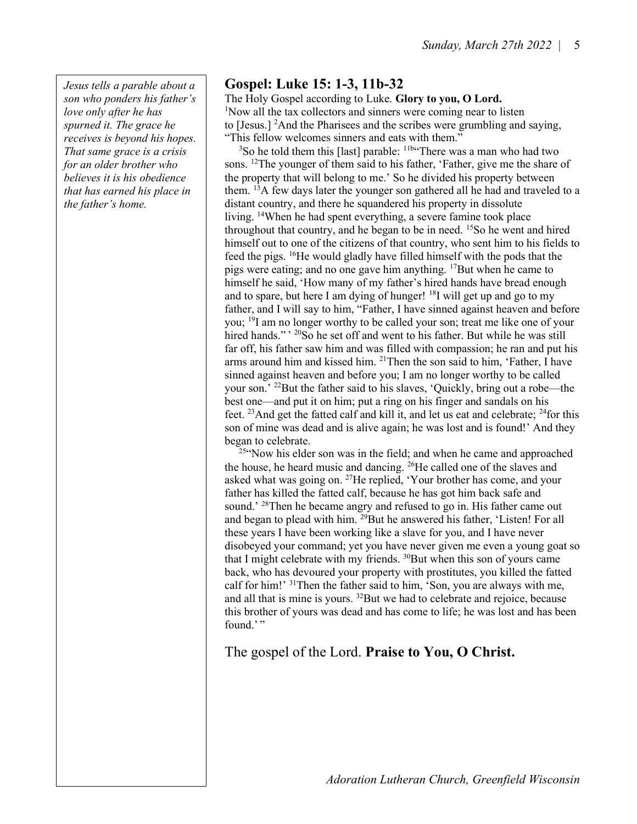Jesus tells a parable about a son who ponders his father's love only after he has spurned it. The grace he receives is beyond his hopes. That same grace is a crisis for an older brother who believes it is his obedience that has earned his place in the father's home.

## Gospel: Luke 15: 1-3, 11b-32

The Holy Gospel according to Luke. Glory to you, O Lord. <sup>1</sup>Now all the tax collectors and sinners were coming near to listen to [Jesus.] <sup>2</sup>And the Pharisees and the scribes were grumbling and saying, "This fellow welcomes sinners and eats with them."

<sup>3</sup>So he told them this [last] parable: <sup>11b\*</sup>There was a man who had two sons. <sup>12</sup>The younger of them said to his father, 'Father, give me the share of the property that will belong to me.' So he divided his property between them. <sup>13</sup>A few days later the younger son gathered all he had and traveled to a distant country, and there he squandered his property in dissolute living. <sup>14</sup>When he had spent everything, a severe famine took place throughout that country, and he began to be in need.  $15S$  he went and hired himself out to one of the citizens of that country, who sent him to his fields to feed the pigs. <sup>16</sup>He would gladly have filled himself with the pods that the pigs were eating; and no one gave him anything. <sup>17</sup>But when he came to himself he said, 'How many of my father's hired hands have bread enough and to spare, but here I am dying of hunger!  $^{18}$ I will get up and go to my father, and I will say to him, "Father, I have sinned against heaven and before you; <sup>19</sup>I am no longer worthy to be called your son; treat me like one of your hired hands."<sup>, 20</sup>So he set off and went to his father. But while he was still far off, his father saw him and was filled with compassion; he ran and put his arms around him and kissed him. <sup>21</sup>Then the son said to him, 'Father, I have sinned against heaven and before you; I am no longer worthy to be called your son.' <sup>22</sup>But the father said to his slaves, 'Quickly, bring out a robe—the best one—and put it on him; put a ring on his finger and sandals on his feet. <sup>23</sup>And get the fatted calf and kill it, and let us eat and celebrate;  $^{24}$  for this son of mine was dead and is alive again; he was lost and is found!' And they began to celebrate.

<sup>25"</sup>Now his elder son was in the field; and when he came and approached the house, he heard music and dancing. <sup>26</sup>He called one of the slaves and asked what was going on. <sup>27</sup>He replied, 'Your brother has come, and your father has killed the fatted calf, because he has got him back safe and sound.<sup>' 28</sup>Then he became angry and refused to go in. His father came out and began to plead with him. <sup>29</sup>But he answered his father, 'Listen! For all these years I have been working like a slave for you, and I have never disobeyed your command; yet you have never given me even a young goat so that I might celebrate with my friends.  $30$ But when this son of yours came back, who has devoured your property with prostitutes, you killed the fatted calf for him!' <sup>31</sup>Then the father said to him, 'Son, you are always with me, and all that is mine is yours.  $32$ But we had to celebrate and rejoice, because this brother of yours was dead and has come to life; he was lost and has been found.'"

The gospel of the Lord. Praise to You, O Christ.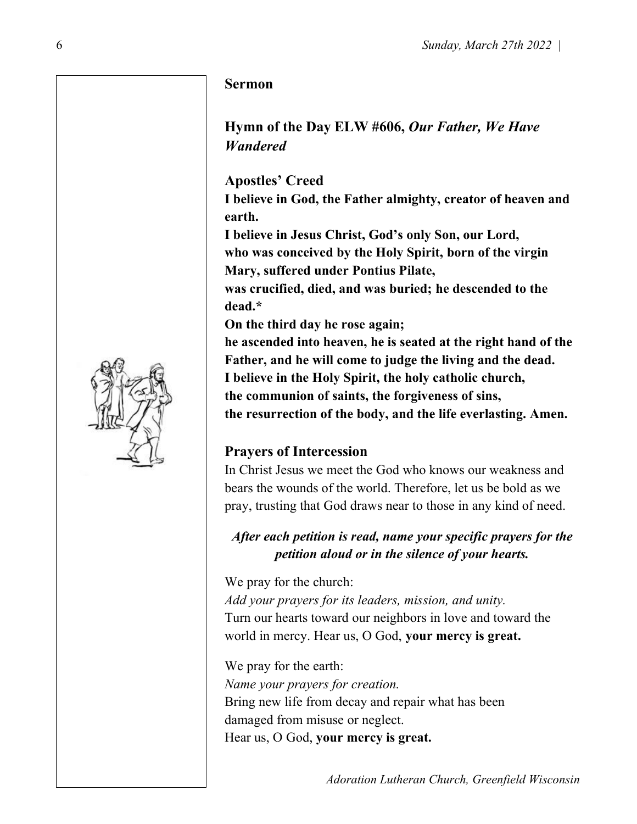#### Sermon

## Hymn of the Day ELW #606, Our Father, We Have Wandered

Apostles' Creed

I believe in God, the Father almighty, creator of heaven and earth.

I believe in Jesus Christ, God's only Son, our Lord, who was conceived by the Holy Spirit, born of the virgin Mary, suffered under Pontius Pilate,

was crucified, died, and was buried; he descended to the dead.\*

On the third day he rose again;

he ascended into heaven, he is seated at the right hand of the Father, and he will come to judge the living and the dead. I believe in the Holy Spirit, the holy catholic church, the communion of saints, the forgiveness of sins,

the resurrection of the body, and the life everlasting. Amen.

# Prayers of Intercession

In Christ Jesus we meet the God who knows our weakness and bears the wounds of the world. Therefore, let us be bold as we pray, trusting that God draws near to those in any kind of need.

After each petition is read, name your specific prayers for the petition aloud or in the silence of your hearts.

We pray for the church: Add your prayers for its leaders, mission, and unity. Turn our hearts toward our neighbors in love and toward the world in mercy. Hear us, O God, your mercy is great.

We pray for the earth: Name your prayers for creation. Bring new life from decay and repair what has been damaged from misuse or neglect. Hear us, O God, your mercy is great.

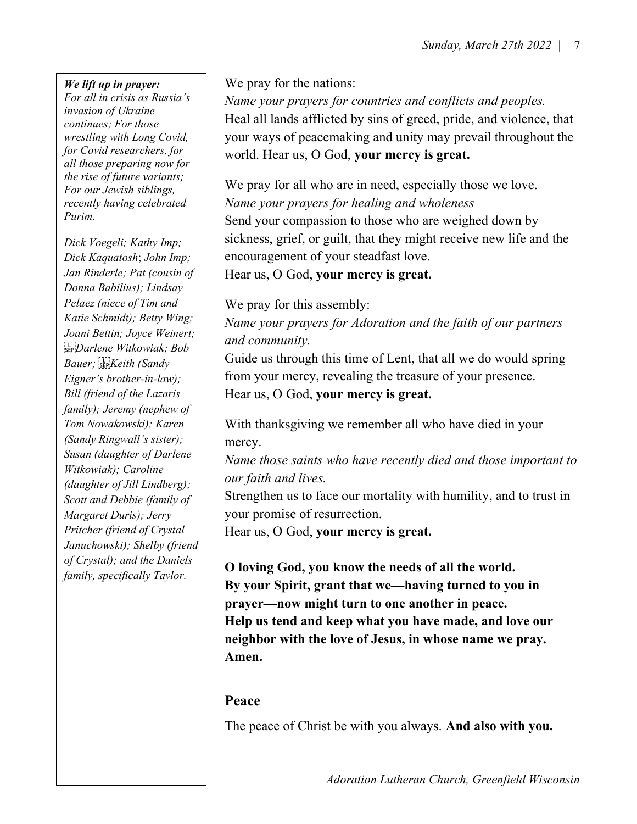#### We lift up in prayer:

For all in crisis as Russia's invasion of Ukraine continues; For those wrestling with Long Covid, for Covid researchers, for all those preparing now for the rise of future variants; For our Jewish siblings, recently having celebrated Purim.

Dick Voegeli; Kathy Imp; Dick Kaquatosh; John Imp; Jan Rinderle; Pat (cousin of Donna Babilius); Lindsay Pelaez (niece of Tim and Katie Schmidt); Betty Wing; Joani Bettin; Joyce Weinert; Darlene Witkowiak; Bob Bauer; SEPKeith (Sandy Eigner's brother-in-law); Bill (friend of the Lazaris family); Jeremy (nephew of Tom Nowakowski); Karen (Sandy Ringwall's sister); Susan (daughter of Darlene Witkowiak); Caroline (daughter of Jill Lindberg); Scott and Debbie (family of Margaret Duris); Jerry Pritcher (friend of Crystal Januchowski); Shelby (friend of Crystal); and the Daniels family, specifically Taylor.

We pray for the nations:

Name your prayers for countries and conflicts and peoples. Heal all lands afflicted by sins of greed, pride, and violence, that your ways of peacemaking and unity may prevail throughout the world. Hear us, O God, your mercy is great.

We pray for all who are in need, especially those we love. Name your prayers for healing and wholeness Send your compassion to those who are weighed down by sickness, grief, or guilt, that they might receive new life and the encouragement of your steadfast love. Hear us, O God, your mercy is great.

We pray for this assembly:

Name your prayers for Adoration and the faith of our partners and community.

Guide us through this time of Lent, that all we do would spring from your mercy, revealing the treasure of your presence. Hear us, O God, your mercy is great.

With thanksgiving we remember all who have died in your mercy.

Name those saints who have recently died and those important to our faith and lives.

Strengthen us to face our mortality with humility, and to trust in your promise of resurrection.

Hear us, O God, your mercy is great.

O loving God, you know the needs of all the world. By your Spirit, grant that we—having turned to you in prayer—now might turn to one another in peace. Help us tend and keep what you have made, and love our neighbor with the love of Jesus, in whose name we pray. Amen.

## Peace

The peace of Christ be with you always. And also with you.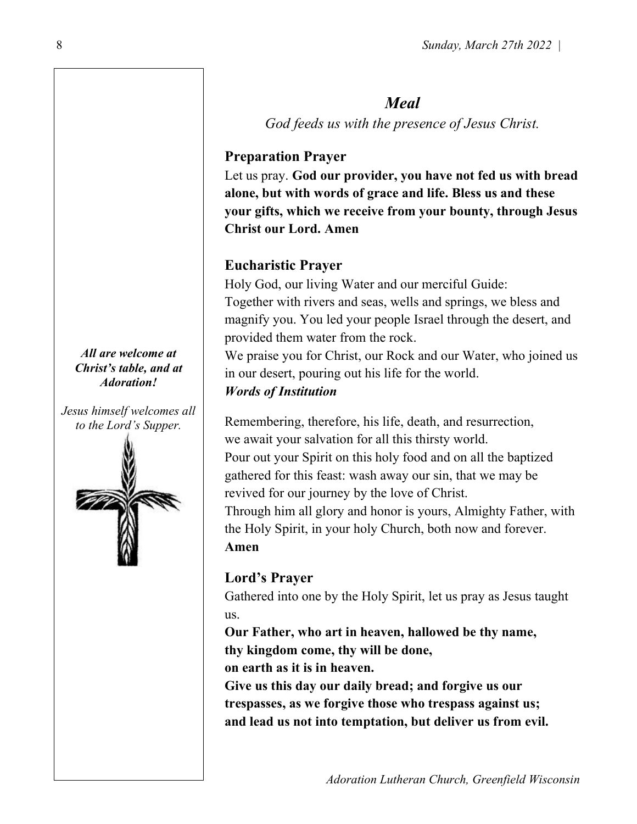# Meal

God feeds us with the presence of Jesus Christ.

# Preparation Prayer

Let us pray. God our provider, you have not fed us with bread alone, but with words of grace and life. Bless us and these your gifts, which we receive from your bounty, through Jesus Christ our Lord. Amen

# Eucharistic Prayer

Holy God, our living Water and our merciful Guide: Together with rivers and seas, wells and springs, we bless and magnify you. You led your people Israel through the desert, and provided them water from the rock.

We praise you for Christ, our Rock and our Water, who joined us in our desert, pouring out his life for the world.

## Words of Institution

Remembering, therefore, his life, death, and resurrection, we await your salvation for all this thirsty world. Pour out your Spirit on this holy food and on all the baptized gathered for this feast: wash away our sin, that we may be revived for our journey by the love of Christ. Through him all glory and honor is yours, Almighty Father, with

the Holy Spirit, in your holy Church, both now and forever. Amen

# Lord's Prayer

Gathered into one by the Holy Spirit, let us pray as Jesus taught us.

Our Father, who art in heaven, hallowed be thy name, thy kingdom come, thy will be done, on earth as it is in heaven.

Give us this day our daily bread; and forgive us our trespasses, as we forgive those who trespass against us; and lead us not into temptation, but deliver us from evil.

#### All are welcome at Christ's table, and at Adoration!

Jesus himself welcomes all to the Lord's Supper.

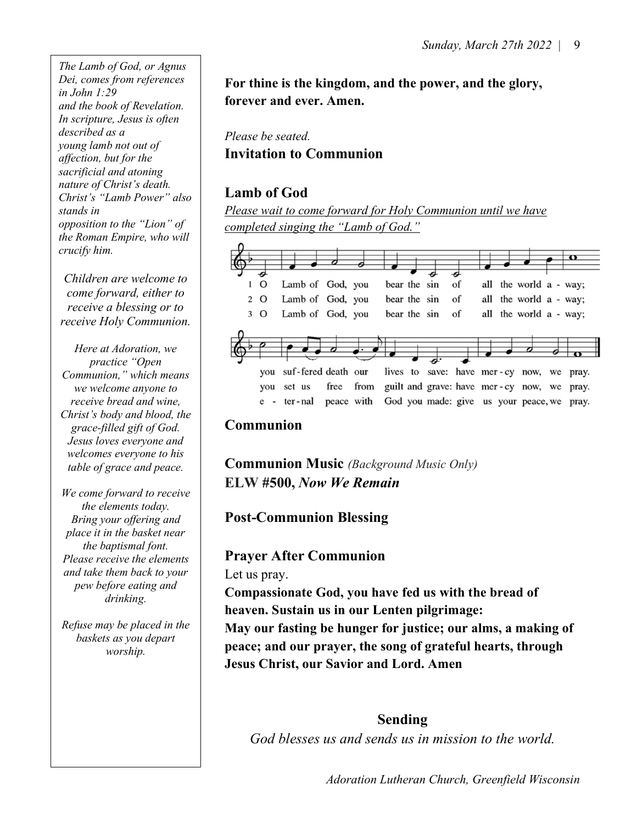The Lamb of God, or Agnus Dei, comes from references in John 1:29 and the book of Revelation. In scripture, Jesus is often described as a young lamb not out of affection, but for the sacrificial and atoning nature of Christ's death. Christ's "Lamb Power" also stands in opposition to the "Lion" of the Roman Empire, who will crucify him.

Children are welcome to come forward, either to receive a blessing or to receive Holy Communion.

Here at Adoration, we practice "Open Communion," which means we welcome anyone to receive bread and wine, Christ's body and blood, the grace-filled gift of God. Jesus loves everyone and welcomes everyone to his table of grace and peace.

We come forward to receive the elements today. Bring your offering and place it in the basket near the baptismal font. Please receive the elements and take them back to your pew before eating and drinking.

Refuse may be placed in the baskets as you depart worship.

For thine is the kingdom, and the power, and the glory, forever and ever. Amen.

Please be seated. Invitation to Communion

## Lamb of God

Please wait to come forward for Holy Communion until we have completed singing the "Lamb of God."



## Communion

Communion Music (Background Music Only) ELW #500, Now We Remain

# Post-Communion Blessing

## Prayer After Communion

Let us pray.

Compassionate God, you have fed us with the bread of heaven. Sustain us in our Lenten pilgrimage: May our fasting be hunger for justice; our alms, a making of

peace; and our prayer, the song of grateful hearts, through Jesus Christ, our Savior and Lord. Amen

## Sending

God blesses us and sends us in mission to the world.